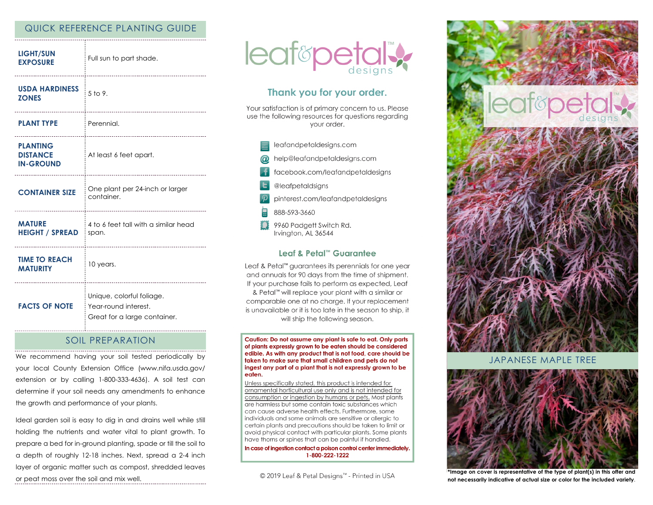# QUICK REFERENCE PLANTING GUIDE

| <b>LIGHT/SUN</b><br><b>EXPOSURE</b>                           | Full sun to part shade.                                                           |
|---------------------------------------------------------------|-----------------------------------------------------------------------------------|
| <b>USDA HARDINESS</b><br><b>ZONES</b>                         | $5$ to 9.<br>                                                                     |
| <b>PLANT TYPE</b>                                             | Perennial.<br>                                                                    |
| <b>PLANTING</b><br><b>DISTANCE</b><br><b>IN-GROUND</b>        | At least 6 feet apart.<br>-------------------------------                         |
| <b>CONTAINER SIZE</b>                                         | One plant per 24-inch or larger<br>container.                                     |
| <b>MATURE</b><br><b>HEIGHT / SPREAD</b>                       | 4 to 6 feet tall with a similar head<br>span.                                     |
| <b>TIME TO REACH</b><br><b>MATURITY</b><br>------------------ | 10 years.                                                                         |
| <b>FACTS OF NOTE</b>                                          | Unique, colorful foliage.<br>Year-round interest.<br>Great for a large container. |

### SOIL PREPARATION

We recommend having your soil tested periodically by your local County Extension Office (www.nifa.usda.gov/ extension or by calling 1-800-333-4636). A soil test can determine if your soil needs any amendments to enhance the growth and performance of your plants.

Ideal garden soil is easy to dig in and drains well while still holding the nutrients and water vital to plant growth. To prepare a bed for in-ground planting, spade or till the soil to a depth of roughly 12-18 inches. Next, spread a 2-4 inch layer of organic matter such as compost, shredded leaves or peat moss over the soil and mix well.



# Thank you for your order.

Your satisfaction is of primary concern to us. Please use the following resources for questions regarding vour order.

- leafandpetaldesigns.com help@leafandpetaldesigns.com
- facebook.com/leafandpetaldesigns
- @leafpetaldsigns
- pinterest.com/leafandpetaldesigns
- 888-593-3660
- 9960 Padgett Switch Rd. Irvington, AL 36544

### Leaf & Petal™ Guarantee

Leaf & Petal<sup>™</sup> guarantees its perennials for one year and annuals for 90 days from the time of shipment. If your purchase fails to perform as expected, Leaf & Petal<sup>™</sup> will replace your plant with a similar or comparable one at no charge. If your replacement is unavailable or it is too late in the season to ship, it will ship the following season.

Caution: Do not assume any plant is safe to eat. Only parts of plants expressly grown to be eaten should be considered edible. As with any product that is not food, care should be taken to make sure that small children and pets do not ingest any part of a plant that is not expressly grown to be eaten.

Unless specifically stated, this product is intended for ornamental horticultural use only and is not intended for consumption or ingestion by humans or pets. Most plants are harmless but some contain toxic substances which can cause adverse health effects. Furthermore, some individuals and some animals are sensitive or allergic to certain plants and precautions should be taken to limit or avoid physical contact with particular plants. Some plants have thorns or spines that can be painful if handled.

In case of ingestion contact a poison control center immediately. 1-800-222-1222

© 2019 Leaf & Petal Designs™ - Printed in USA



JAPANESE MAPLE TREE



**\*Image on cover is representative of the type of plant(s) in this offer and not necessarily indicative of actual size or color for the included variety**.